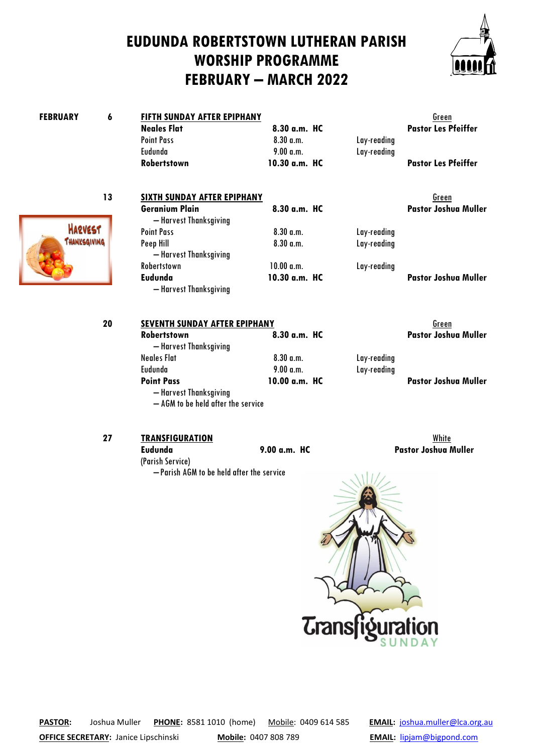## **EUDUNDA ROBERTSTOWN LUTHERAN PARISH WORSHIP PROGRAMME FEBRUARY – MARCH 2022**



| <b>FEBRUARY</b> | 6  | FIFTH SUNDAY AFTER EPIPHANY                                                       |                     |             | Green                       |
|-----------------|----|-----------------------------------------------------------------------------------|---------------------|-------------|-----------------------------|
|                 |    | <b>Neales Flat</b>                                                                | $8.30$ a.m. HC      |             | <b>Pastor Les Pfeiffer</b>  |
|                 |    | <b>Point Pass</b>                                                                 | $8.30$ a.m.         | Lay-reading |                             |
|                 |    | Eudunda                                                                           | 9.00 a.m.           | Lay-reading |                             |
|                 |    | Robertstown                                                                       | 10.30 a.m. HC       |             | <b>Pastor Les Pfeiffer</b>  |
|                 | 13 | SIXTH SUNDAY AFTER EPIPHANY                                                       |                     |             | Green                       |
|                 |    | <b>Geranium Plain</b><br>- Harvest Thanksgiving                                   | 8.30 a.m. HC        |             | <b>Pastor Joshua Muller</b> |
| <b>HARVEST</b>  |    | <b>Point Pass</b>                                                                 | $8.30$ a.m.         | Lay-reading |                             |
| THANKSGIVING    |    | Peep Hill<br>- Harvest Thanksgiving                                               | $8.30 \text{ a.m.}$ | Lay-reading |                             |
|                 |    | Robertstown                                                                       | 10.00 a.m.          | Lay-reading |                             |
|                 |    | Eudunda<br>- Harvest Thanksgiving                                                 | 10.30 a.m. HC       |             | <b>Pastor Joshua Muller</b> |
|                 | 20 | <b>SEVENTH SUNDAY AFTER EPIPHANY</b>                                              |                     |             | Green                       |
|                 |    | Robertstown<br>- Harvest Thanksgiving                                             | $8.30$ a.m. HC      |             | <b>Pastor Joshua Muller</b> |
|                 |    | <b>Neales Flat</b>                                                                | $8.30$ a.m.         | Lay-reading |                             |
|                 |    | Eudunda                                                                           | 9.00 a.m.           | Lay-reading |                             |
|                 |    | <b>Point Pass</b><br>- Harvest Thanksgiving<br>- AGM to be held after the service | 10.00 a.m. HC       |             | <b>Pastor Joshua Muller</b> |
|                 | 27 | <b>TRANSFIGURATION</b>                                                            |                     |             | White                       |

**Eudunda 9.00 a.m. HC Pastor Joshua Muller**



**PASTOR:** Joshua Muller **PHONE:** 8581 1010 (home) Mobile: 0409 614 585 **EMAIL:** [joshua.muller@lca.org.au](mailto:joshua.muller@lca.org.au)

(Parish Service)

– Parish AGM to be held after the service

**OFFICE SECRETARY:** Janice Lipschinski **Mobile:** 0407 808 789 **EMAIL:** [lipjam@bigpond.com](mailto:lipjam@bigpond.com)